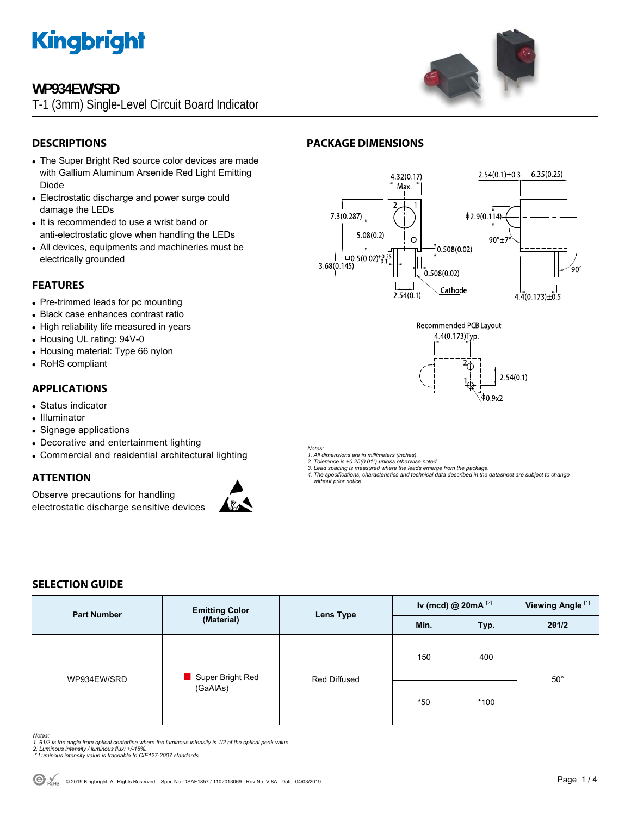

# **WP934EW/SRD**

T-1 (3mm) Single-Level Circuit Board Indicator



# **DESCRIPTIONS**

- The Super Bright Red source color devices are made with Gallium Aluminum Arsenide Red Light Emitting Diode
- Electrostatic discharge and power surge could damage the LEDs
- It is recommended to use a wrist band or anti-electrostatic glove when handling the LEDs
- All devices, equipments and machineries must be electrically grounded

### **FEATURES**

- Pre-trimmed leads for pc mounting
- Black case enhances contrast ratio
- High reliability life measured in years
- Housing UL rating: 94V-0
- Housing material: Type 66 nylon
- RoHS compliant

# **APPLICATIONS**

- Status indicator
- Illuminator
- Signage applications
- Decorative and entertainment lighting
- Commercial and residential architectural lighting

## **ATTENTION**

Observe precautions for handling electrostatic discharge sensitive devices



# **PACKAGE DIMENSIONS**





*Notes:* 

- *1. All dimensions are in millimeters (inches).*
- *2. Tolerance is ±0.25(0.01") unless otherwise noted.*
- *3. Lead spacing is measured where the leads emerge from the package. 4. The specifications, characteristics and technical data described in the datasheet are subject to change without prior notice.*

## **SELECTION GUIDE**

| <b>Part Number</b> | <b>Emitting Color</b><br>(Material) | <b>Lens Type</b> | Iv (mcd) @ $20mA$ <sup>[2]</sup> |        | Viewing Angle <sup>[1]</sup> |
|--------------------|-------------------------------------|------------------|----------------------------------|--------|------------------------------|
|                    |                                     |                  | Min.                             | Typ.   | 201/2                        |
| WP934EW/SRD        | Super Bright Red<br>(GaAlAs)        | Red Diffused     | 150                              | 400    |                              |
|                    |                                     |                  | $*50$                            | $*100$ | $50^{\circ}$                 |

*Notes:* 

- *1. θ1/2 is the angle from optical centerline where the luminous intensity is 1/2 of the optical peak value. 2. Luminous intensity / luminous flux: +/-15%.*
- 
- *\* Luminous intensity value is traceable to CIE127-2007 standards.*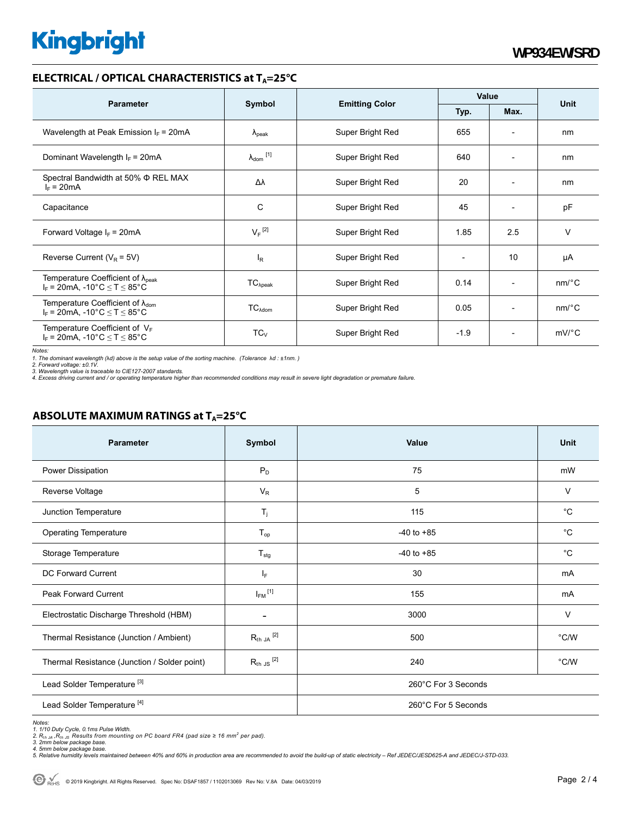# **Kingbright**

### **ELECTRICAL / OPTICAL CHARACTERISTICS at T<sub>A</sub>=25°C**

| <b>Parameter</b>                                                                                                                | Symbol                       | <b>Emitting Color</b> | Value                    |                              | <b>Unit</b>           |
|---------------------------------------------------------------------------------------------------------------------------------|------------------------------|-----------------------|--------------------------|------------------------------|-----------------------|
|                                                                                                                                 |                              |                       | Typ.                     | Max.                         |                       |
| Wavelength at Peak Emission $I_F$ = 20mA                                                                                        | $\lambda_{\rm peak}$         | Super Bright Red      | 655                      | $\overline{a}$               | nm                    |
| Dominant Wavelength $I_F = 20 \text{mA}$                                                                                        | $\lambda_{\mathsf{dom}}$ [1] | Super Bright Red      | 640                      | $\overline{\phantom{a}}$     | nm                    |
| Spectral Bandwidth at 50% $\Phi$ REL MAX<br>$I_F = 20mA$                                                                        | Δλ                           | Super Bright Red      | 20                       | $\overline{\phantom{a}}$     | nm                    |
| Capacitance                                                                                                                     | C                            | Super Bright Red      | 45                       | $\overline{a}$               | pF                    |
| Forward Voltage $I_F = 20 \text{mA}$                                                                                            | $V_F$ <sup>[2]</sup>         | Super Bright Red      | 1.85                     | 2.5                          | $\vee$                |
| Reverse Current ( $V_R$ = 5V)                                                                                                   | l <sub>R</sub>               | Super Bright Red      | $\overline{\phantom{a}}$ | 10                           | μA                    |
| Temperature Coefficient of $\lambda_{\text{peak}}$<br>$I_F$ = 20mA, -10°C $\leq T \leq 85$ °C                                   | $TC_{\lambda peak}$          | Super Bright Red      | 0.14                     | $\qquad \qquad \blacksquare$ | $nm$ <sup>o</sup> $C$ |
| Temperature Coefficient of $\lambda_{\text{dom}}$<br>$I_F = 20 \text{mA}, -10^{\circ} \text{C} \leq T \leq 85^{\circ} \text{C}$ | $TC_{\lambda dom}$           | Super Bright Red      | 0.05                     | $\overline{a}$               | $nm$ <sup>o</sup> $C$ |
| Temperature Coefficient of $V_F$<br>$I_F$ = 20mA, -10°C $\leq T \leq 85$ °C                                                     | $TC_{V}$                     | Super Bright Red      | $-1.9$                   | $\overline{\phantom{0}}$     | $mV$ <sup>o</sup> $C$ |

*Notes:* 

1. The dominant wavelength (λd) above is the setup value of the sorting machine. (Tolerance λd : ±1nm. )<br>2. Forward voltage: ±0.1V.<br>3. Wavelength value is traceable to CIE127-2007 standards.<br>4. Excess driving current and

# **ABSOLUTE MAXIMUM RATINGS at T<sub>A</sub>=25°C**

| <b>Parameter</b>                             | Symbol                    | Value               | <b>Unit</b>   |  |
|----------------------------------------------|---------------------------|---------------------|---------------|--|
| Power Dissipation                            | $P_D$                     | 75                  | mW            |  |
| Reverse Voltage                              | $V_R$                     | 5                   | $\vee$        |  |
| Junction Temperature                         | $T_j$                     | 115                 | $^{\circ}C$   |  |
| <b>Operating Temperature</b>                 | $T_{op}$                  | $-40$ to $+85$      | °C            |  |
| Storage Temperature                          | $\mathsf{T}_{\text{stg}}$ | $-40$ to $+85$      | $^{\circ}C$   |  |
| <b>DC Forward Current</b>                    | $ _{\mathsf{F}}$          | 30                  | mA            |  |
| <b>Peak Forward Current</b>                  | $I_{FM}$ <sup>[1]</sup>   | 155                 | mA            |  |
| Electrostatic Discharge Threshold (HBM)      |                           | 3000                | $\vee$        |  |
| Thermal Resistance (Junction / Ambient)      | $R_{th}$ ja $^{[2]}$      | 500                 | $\degree$ C/W |  |
| Thermal Resistance (Junction / Solder point) | $R_{th}$ JS $^{[2]}$      | 240                 | $\degree$ C/W |  |
| Lead Solder Temperature <sup>[3]</sup>       |                           | 260°C For 3 Seconds |               |  |
| Lead Solder Temperature <sup>[4]</sup>       |                           | 260°C For 5 Seconds |               |  |

Notes:<br>1. 1/10 Duty Cycle, 0.1ms Pulse Width.<br>2. R<sub>th JA</sub> ,R<sub>th JS</sub> Results from mounting on PC board FR4 (pad size ≥ 16 mm<sup>2</sup> per pad).<br>3. 2mm below package base.<br>4. Smlative humidity levels maintained between 40% and 60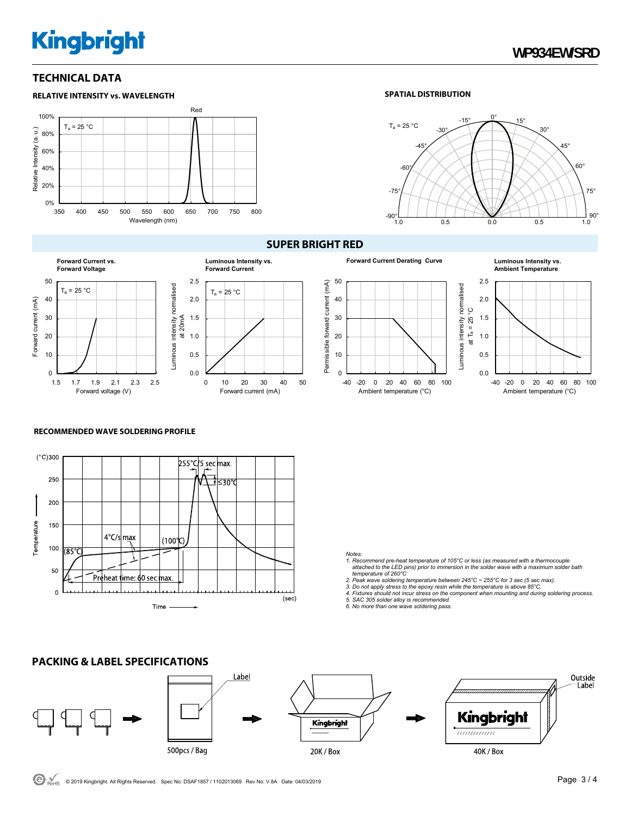# **Kingbright**

## **TECHNICAL DATA**







#### **SUPER BRIGHT RED**





# **Ambient Temperature**



#### **RECOMMENDED WAVE SOLDERING PROFILE**

**PACKING & LABEL SPECIFICATIONS** 



#### *Notes:*

- *1. Recommend pre-heat temperature of 105°C or less (as measured with a thermocouple attached to the LED pins) prior to immersion in the solder wave with a maximum solder bath temperature of 260°C*
- 
- 2. Peak wave soldering temperature between 245°C ~ 255°C for 3 sec (5 sec max).<br>3. Do not apply stress to the epoxy resin while the temperature is above 85°C.<br>4. Fixtures should not incur stress on the component when mount
- 
- *5. SAC 305 solder alloy is recommended. 6. No more than one wave soldering pass.*

#### Label Outside Label Kingbright Kingbright ,,,,,,,,,,,,, 500pcs / Bag 40K / Box 20K / Box